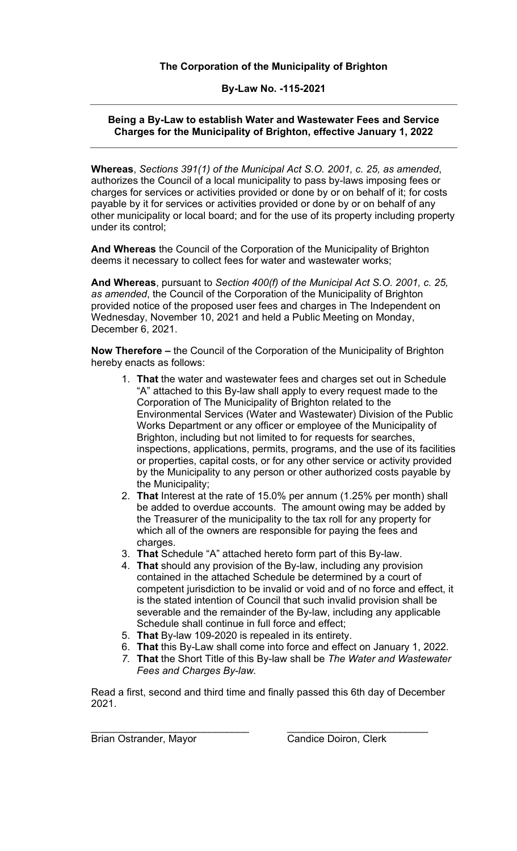## **The Corporation of the Municipality of Brighton**

#### **By-Law No. -115-2021**

### **Being a By-Law to establish Water and Wastewater Fees and Service Charges for the Municipality of Brighton, effective January 1, 2022**

**Whereas**, *Sections 391(1) of the Municipal Act S.O. 2001, c. 25, as amended*, authorizes the Council of a local municipality to pass by-laws imposing fees or charges for services or activities provided or done by or on behalf of it; for costs payable by it for services or activities provided or done by or on behalf of any other municipality or local board; and for the use of its property including property under its control;

**And Whereas** the Council of the Corporation of the Municipality of Brighton deems it necessary to collect fees for water and wastewater works;

**And Whereas**, pursuant to *Section 400(f) of the Municipal Act S.O. 2001, c. 25, as amended*, the Council of the Corporation of the Municipality of Brighton provided notice of the proposed user fees and charges in The Independent on Wednesday, November 10, 2021 and held a Public Meeting on Monday, December 6, 2021.

**Now Therefore –** the Council of the Corporation of the Municipality of Brighton hereby enacts as follows:

- 1. **That** the water and wastewater fees and charges set out in Schedule "A" attached to this By-law shall apply to every request made to the Corporation of The Municipality of Brighton related to the Environmental Services (Water and Wastewater) Division of the Public Works Department or any officer or employee of the Municipality of Brighton, including but not limited to for requests for searches, inspections, applications, permits, programs, and the use of its facilities or properties, capital costs, or for any other service or activity provided by the Municipality to any person or other authorized costs payable by the Municipality;
- 2. **That** Interest at the rate of 15.0% per annum (1.25% per month) shall be added to overdue accounts. The amount owing may be added by the Treasurer of the municipality to the tax roll for any property for which all of the owners are responsible for paying the fees and charges.
- 3. **That** Schedule "A" attached hereto form part of this By-law.
- 4. **That** should any provision of the By-law, including any provision contained in the attached Schedule be determined by a court of competent jurisdiction to be invalid or void and of no force and effect, it is the stated intention of Council that such invalid provision shall be severable and the remainder of the By-law, including any applicable Schedule shall continue in full force and effect;
- 5. **That** By-law 109-2020 is repealed in its entirety.
- 6. **That** this By-Law shall come into force and effect on January 1, 2022.
- *7.* **That** the Short Title of this By-law shall be *The Water and Wastewater Fees and Charges By-law.*

Read a first, second and third time and finally passed this 6th day of December 2021.

\_\_\_\_\_\_\_\_\_\_\_\_\_\_\_\_\_\_\_\_\_\_\_\_\_\_\_\_ \_\_\_\_\_\_\_\_\_\_\_\_\_\_\_\_\_\_\_\_\_\_\_\_\_ **Brian Ostrander, Mayor Candice Doiron, Clerk**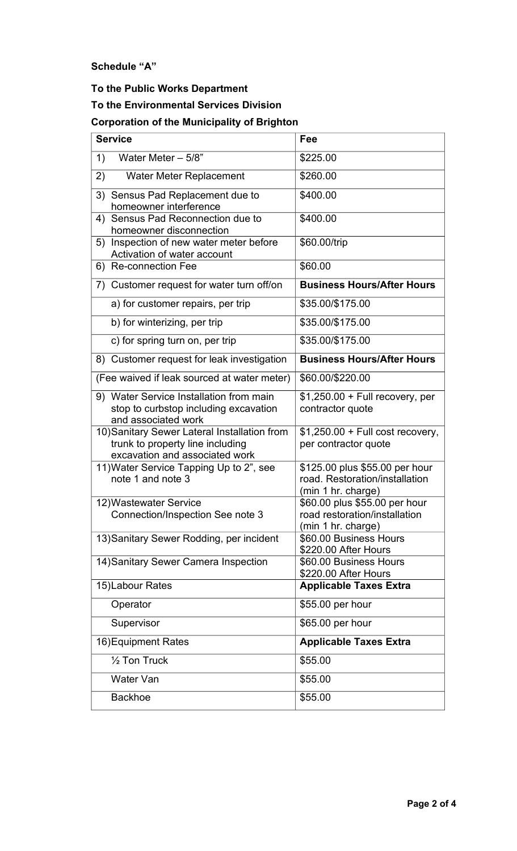**Schedule "A"**

# **To the Public Works Department To the Environmental Services Division Corporation of the Municipality of Brighton**

| <b>Service</b>                                                                                                     | Fee                                                                                    |  |  |
|--------------------------------------------------------------------------------------------------------------------|----------------------------------------------------------------------------------------|--|--|
| Water Meter $-5/8$ "<br>1)                                                                                         | \$225.00                                                                               |  |  |
| 2)<br>Water Meter Replacement                                                                                      | \$260.00                                                                               |  |  |
| 3)<br>Sensus Pad Replacement due to<br>homeowner interference                                                      | \$400.00                                                                               |  |  |
| 4) Sensus Pad Reconnection due to<br>homeowner disconnection                                                       | \$400.00                                                                               |  |  |
| Inspection of new water meter before<br>5)<br>Activation of water account                                          | \$60.00/trip                                                                           |  |  |
| 6) Re-connection Fee                                                                                               | \$60.00                                                                                |  |  |
| 7) Customer request for water turn off/on                                                                          | <b>Business Hours/After Hours</b>                                                      |  |  |
| a) for customer repairs, per trip                                                                                  | \$35.00/\$175.00                                                                       |  |  |
| b) for winterizing, per trip                                                                                       | \$35.00/\$175.00                                                                       |  |  |
| c) for spring turn on, per trip                                                                                    | \$35.00/\$175.00                                                                       |  |  |
| 8) Customer request for leak investigation                                                                         | <b>Business Hours/After Hours</b>                                                      |  |  |
| (Fee waived if leak sourced at water meter)                                                                        | \$60.00/\$220.00                                                                       |  |  |
| 9) Water Service Installation from main<br>stop to curbstop including excavation<br>and associated work            | $$1,250.00 + Full recovery, per$<br>contractor quote                                   |  |  |
| 10) Sanitary Sewer Lateral Installation from<br>trunk to property line including<br>excavation and associated work | $$1,250.00 + Full cost recovery,$<br>per contractor quote                              |  |  |
| 11) Water Service Tapping Up to 2", see<br>note 1 and note 3                                                       | \$125.00 plus \$55.00 per hour<br>road. Restoration/installation<br>(min 1 hr. charge) |  |  |
| 12) Wastewater Service<br>Connection/Inspection See note 3                                                         | \$60.00 plus \$55.00 per hour<br>road restoration/installation<br>(min 1 hr. charge)   |  |  |
| 13) Sanitary Sewer Rodding, per incident                                                                           | \$60.00 Business Hours<br>\$220.00 After Hours                                         |  |  |
| 14) Sanitary Sewer Camera Inspection                                                                               | \$60.00 Business Hours<br>\$220.00 After Hours                                         |  |  |
| 15) Labour Rates                                                                                                   | <b>Applicable Taxes Extra</b>                                                          |  |  |
| Operator                                                                                                           | \$55.00 per hour                                                                       |  |  |
| Supervisor                                                                                                         | \$65.00 per hour                                                                       |  |  |
| 16) Equipment Rates                                                                                                | <b>Applicable Taxes Extra</b>                                                          |  |  |
| $\frac{1}{2}$ Ton Truck                                                                                            | \$55.00                                                                                |  |  |
| Water Van                                                                                                          | \$55.00                                                                                |  |  |
| <b>Backhoe</b>                                                                                                     | \$55.00                                                                                |  |  |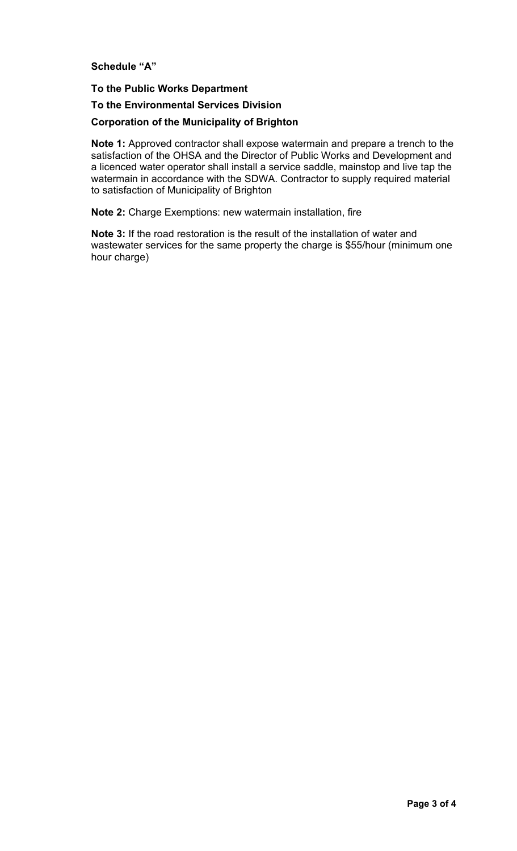**Schedule "A"**

### **To the Public Works Department**

**To the Environmental Services Division**

### **Corporation of the Municipality of Brighton**

**Note 1:** Approved contractor shall expose watermain and prepare a trench to the satisfaction of the OHSA and the Director of Public Works and Development and a licenced water operator shall install a service saddle, mainstop and live tap the watermain in accordance with the SDWA. Contractor to supply required material to satisfaction of Municipality of Brighton

**Note 2:** Charge Exemptions: new watermain installation, fire

**Note 3:** If the road restoration is the result of the installation of water and wastewater services for the same property the charge is \$55/hour (minimum one hour charge)